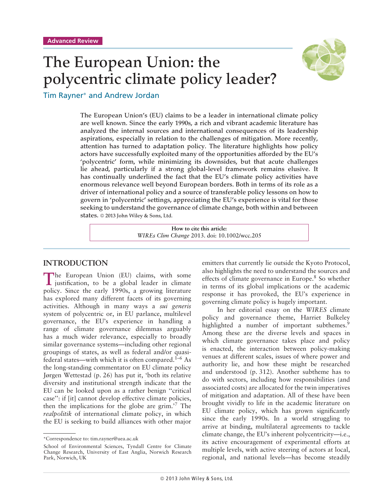# **The European Union: the polycentric climate policy leader?**



Tim Rayner∗ and Andrew Jordan

**The European Union's (EU) claims to be a leader in international climate policy are well known. Since the early 1990s, a rich and vibrant academic literature has analyzed the internal sources and international consequences of its leadership aspirations, especially in relation to the challenges of mitigation. More recently, attention has turned to adaptation policy. The literature highlights how policy actors have successfully exploited many of the opportunities afforded by the EU's 'polycentric' form, while minimizing its downsides, but that acute challenges lie ahead, particularly if a strong global-level framework remains elusive. It has continually underlined the fact that the EU's climate policy activities have enormous relevance well beyond European borders. Both in terms of its role as a driver of international policy and a source of transferable policy lessons on how to govern in 'polycentric' settings, appreciating the EU's experience is vital for those seeking to understand the governance of climate change, both within and between states.** © **2013 John Wiley & Sons, Ltd.**

> **How to cite this article:** *WIREs Clim Change* 2013. doi: 10.1002/wcc.205

# **INTRODUCTION**

The European Union (EU) claims, with some<br>justification, to be a global leader in climate policy. Since the early 1990s, a growing literature has explored many different facets of its governing activities. Although in many ways a *sui generis* system of polycentric or, in EU parlance, multilevel governance, the EU's experience in handling a range of climate governance dilemmas arguably has a much wider relevance, especially to broadly similar governance systems—including other regional groupings of states, as well as federal and/or quasifederal states—with which it is often compared.<sup>1–6</sup> As the long-standing commentator on EU climate policy Jørgen Wettestad (p. 26) has put it, 'both its relative diversity and institutional strength indicate that the EU can be looked upon as a rather benign ''critical case'': if [it] cannot develop effective climate policies, then the implications for the globe are grim.'<sup>7</sup> The *realpolitik* of international climate policy, in which the EU is seeking to build alliances with other major emitters that currently lie outside the Kyoto Protocol, also highlights the need to understand the sources and effects of climate governance in Europe.<sup>8</sup> So whether in terms of its global implications or the academic response it has provoked, the EU's experience in governing climate policy is hugely important.

In her editorial essay on the *WIRES* climate policy and governance theme, Harriet Bulkeley highlighted a number of important subthemes.<sup>9</sup> Among these are the diverse levels and spaces in which climate governance takes place and policy is enacted, the interaction between policy-making venues at different scales, issues of where power and authority lie, and how these might be researched and understood (p. 312). Another subtheme has to do with sectors, including how responsibilities (and associated costs) are allocated for the twin imperatives of mitigation and adaptation. All of these have been brought vividly to life in the academic literature on EU climate policy, which has grown significantly since the early 1990s. In a world struggling to arrive at binding, multilateral agreements to tackle climate change, the EU's inherent polycentricity—i.e., its active encouragement of experimental efforts at multiple levels, with active steering of actors at local, regional, and national levels—has become steadily

<sup>∗</sup>Correspondence to: tim.rayner@uea.ac.uk

School of Environmental Sciences, Tyndall Centre for Climate Change Research, University of East Anglia, Norwich Research Park, Norwich, UK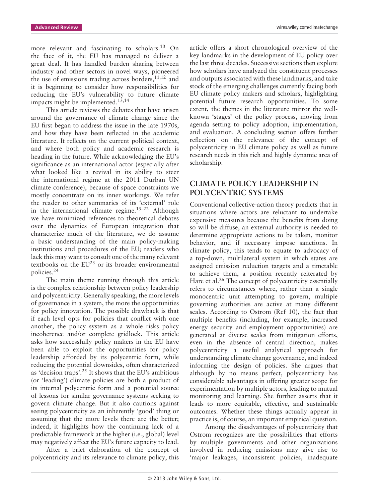more relevant and fascinating to scholars.<sup>10</sup> On the face of it, the EU has managed to deliver a great deal. It has handled burden sharing between industry and other sectors in novel ways, pioneered the use of emissions trading across borders,  $11,12$  and it is beginning to consider how responsibilities for reducing the EU's vulnerability to future climate impacts might be implemented.13,14

This article reviews the debates that have arisen around the governance of climate change since the EU first began to address the issue in the late 1970s, and how they have been reflected in the academic literature. It reflects on the current political context, and where both policy and academic research is heading in the future. While acknowledging the EU's significance as an international actor (especially after what looked like a revival in its ability to steer the international regime at the 2011 Durban UN climate conference), because of space constraints we mostly concentrate on its inner workings. We refer the reader to other summaries of its 'external' role in the international climate regime.<sup>15-22</sup> Although we have minimized references to theoretical debates over the dynamics of European integration that characterize much of the literature, we do assume a basic understanding of the main policy-making institutions and procedures of the EU; readers who lack this may want to consult one of the many relevant textbooks on the  $EU^{23}$  or its broader environmental policies.24

The main theme running through this article is the complex relationship between policy leadership and polycentricity. Generally speaking, the more levels of governance in a system, the more the opportunities for policy innovation. The possible drawback is that if each level opts for policies that conflict with one another, the policy system as a whole risks policy incoherence and/or complete gridlock. This article asks how successfully policy makers in the EU have been able to exploit the opportunities for policy leadership afforded by its polycentric form, while reducing the potential downsides, often characterized as 'decision traps'.25 It shows that the EU's ambitious (or 'leading') climate policies are both a product of its internal polycentric form and a potential source of lessons for similar governance systems seeking to govern climate change. But it also cautions against seeing polycentricity as an inherently 'good' thing or assuming that the more levels there are the better; indeed, it highlights how the continuing lack of a predictable framework at the higher (i.e., global) level may negatively affect the EU's future capacity to lead.

After a brief elaboration of the concept of polycentricity and its relevance to climate policy, this

article offers a short chronological overview of the key landmarks in the development of EU policy over the last three decades. Successive sections then explore how scholars have analyzed the constituent processes and outputs associated with these landmarks, and take stock of the emerging challenges currently facing both EU climate policy makers and scholars, highlighting potential future research opportunities. To some extent, the themes in the literature mirror the wellknown 'stages' of the policy process, moving from agenda setting to policy adoption, implementation, and evaluation. A concluding section offers further reflection on the relevance of the concept of polycentricity in EU climate policy as well as future research needs in this rich and highly dynamic area of scholarship.

## **CLIMATE POLICY LEADERSHIP IN POLYCENTRIC SYSTEMS**

Conventional collective-action theory predicts that in situations where actors are reluctant to undertake expensive measures because the benefits from doing so will be diffuse, an external authority is needed to determine appropriate actions to be taken, monitor behavior, and if necessary impose sanctions. In climate policy, this tends to equate to advocacy of a top-down, multilateral system in which states are assigned emission reduction targets and a timetable to achieve them, a position recently reiterated by Hare et al.<sup>26</sup> The concept of polycentricity essentially refers to circumstances where, rather than a single monocentric unit attempting to govern, multiple governing authorities are active at many different scales. According to Ostrom (Ref 10), the fact that multiple benefits (including, for example, increased energy security and employment opportunities) are generated at diverse scales from mitigation efforts, even in the absence of central direction, makes polycentricity a useful analytical approach for understanding climate change governance, and indeed informing the design of policies. She argues that although by no means perfect, polycentricity has considerable advantages in offering greater scope for experimentation by multiple actors, leading to mutual monitoring and learning. She further asserts that it leads to more equitable, effective, and sustainable outcomes. Whether these things actually appear in practice is, of course, an important empirical question.

Among the disadvantages of polycentricity that Ostrom recognizes are the possibilities that efforts by multiple governments and other organizations involved in reducing emissions may give rise to 'major leakages, inconsistent policies, inadequate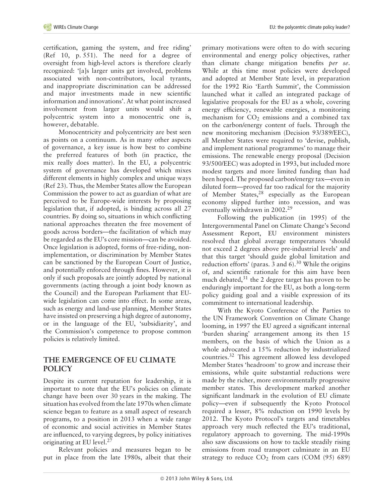certification, gaming the system, and free riding' (Ref 10, p. 551). The need for a degree of oversight from high-level actors is therefore clearly recognized: '[a]s larger units get involved, problems associated with non-contributors, local tyrants, and inappropriate discrimination can be addressed and major investments made in new scientific information and innovations'. At what point increased involvement from larger units would shift a polycentric system into a monocentric one is, however, debatable.

Monocentricity and polycentricity are best seen as points on a continuum. As in many other aspects of governance, a key issue is how best to combine the preferred features of both (in practice, the mix really does matter). In the EU, a polycentric system of governance has developed which mixes different elements in highly complex and unique ways (Ref 23). Thus, the Member States allow the European Commission the power to act as guardian of what are perceived to be Europe-wide interests by proposing legislation that, if adopted, is binding across all 27 countries. By doing so, situations in which conflicting national approaches threaten the free movement of goods across borders—the facilitation of which may be regarded as the EU's core mission—can be avoided. Once legislation is adopted, forms of free-riding, nonimplementation, or discrimination by Member States can be sanctioned by the European Court of Justice, and potentially enforced through fines. However, it is only if such proposals are jointly adopted by national governments (acting through a joint body known as the Council) and the European Parliament that EUwide legislation can come into effect. In some areas, such as energy and land-use planning, Member States have insisted on preserving a high degree of autonomy, or in the language of the EU, 'subsidiarity', and the Commission's competence to propose common policies is relatively limited.

# **THE EMERGENCE OF EU CLIMATE POLICY**

Despite its current reputation for leadership, it is important to note that the EU's policies on climate change have been over 30 years in the making. The situation has evolved from the late 1970s when climate science began to feature as a small aspect of research programs, to a position in 2013 when a wide range of economic and social activities in Member States are influenced, to varying degrees, by policy initiatives originating at EU level.<sup>27</sup>

Relevant policies and measures began to be put in place from the late 1980s, albeit that their primary motivations were often to do with securing environmental and energy policy objectives, rather than climate change mitigation benefits *per se*. While at this time most policies were developed and adopted at Member State level, in preparation for the 1992 Rio 'Earth Summit', the Commission launched what it called an integrated package of legislative proposals for the EU as a whole, covering energy efficiency, renewable energies, a monitoring mechanism for  $CO<sub>2</sub>$  emissions and a combined tax on the carbon/energy content of fuels. Through the new monitoring mechanism (Decision 93/389/EEC), all Member States were required to 'devise, publish, and implement national programmes' to manage their emissions. The renewable energy proposal (Decision 93/500/EEC) was adopted in 1993, but included more modest targets and more limited funding than had been hoped. The proposed carbon/energy tax—even in diluted form—proved far too radical for the majority of Member States,<sup>28</sup> especially as the European economy slipped further into recession, and was eventually withdrawn in 2002.<sup>29</sup>

Following the publication (in 1995) of the Intergovernmental Panel on Climate Change's Second Assessment Report, EU environment ministers resolved that global average temperatures 'should not exceed 2 degrees above pre-industrial levels' and that this target 'should guide global limitation and reduction efforts' (paras. 3 and  $6$ ).<sup>30</sup> While the origins of, and scientific rationale for this aim have been much debated,  $31$  the 2 degree target has proven to be enduringly important for the EU, as both a long-term policy guiding goal and a visible expression of its commitment to international leadership.

With the Kyoto Conference of the Parties to the UN Framework Convention on Climate Change looming, in 1997 the EU agreed a significant internal 'burden sharing' arrangement among its then 15 members, on the basis of which the Union as a whole advocated a 15% reduction by industrialized countries.32 This agreement allowed less developed Member States 'headroom' to grow and increase their emissions, while quite substantial reductions were made by the richer, more environmentally progressive member states. This development marked another significant landmark in the evolution of EU climate policy—even if subsequently the Kyoto Protocol required a lesser, 8% reduction on 1990 levels by 2012. The Kyoto Protocol's targets and timetables approach very much reflected the EU's traditional, regulatory approach to governing. The mid-1990s also saw discussions on how to tackle steadily rising emissions from road transport culminate in an EU strategy to reduce  $CO<sub>2</sub>$  from cars (COM (95) 689)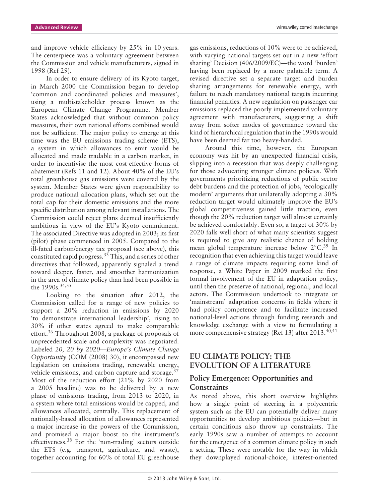and improve vehicle efficiency by 25% in 10 years. The centerpiece was a voluntary agreement between the Commission and vehicle manufacturers, signed in 1998 (Ref 29).

In order to ensure delivery of its Kyoto target, in March 2000 the Commission began to develop 'common and coordinated policies and measures', using a multistakeholder process known as the European Climate Change Programme. Member States acknowledged that without common policy measures, their own national efforts combined would not be sufficient. The major policy to emerge at this time was the EU emissions trading scheme (ETS), a system in which allowances to emit would be allocated and made tradable in a carbon market, in order to incentivise the most cost-effective forms of abatement (Refs 11 and 12). About 40% of the EU's total greenhouse gas emissions were covered by the system. Member States were given responsibility to produce national allocation plans, which set out the total cap for their domestic emissions and the more specific distribution among relevant installations. The Commission could reject plans deemed insufficiently ambitious in view of the EU's Kyoto commitment. The associated Directive was adopted in 2003; its first (pilot) phase commenced in 2005. Compared to the ill-fated carbon/energy tax proposal (see above), this constituted rapid progress.<sup>33</sup> This, and a series of other directives that followed, apparently signaled a trend toward deeper, faster, and smoother harmonization in the area of climate policy than had been possible in the 1990s.<sup>34,35</sup>

Looking to the situation after 2012, the Commission called for a range of new policies to support a 20% reduction in emissions by 2020 'to demonstrate international leadership', rising to 30% if other states agreed to make comparable effort.<sup>36</sup> Throughout 2008, a package of proposals of unprecedented scale and complexity was negotiated. Labeled *20, 20 by 2020—Europe's Climate Change Opportunity* (COM (2008) 30), it encompassed new legislation on emissions trading, renewable energy, vehicle emissions, and carbon capture and storage. $37$ Most of the reduction effort (21% by 2020 from a 2005 baseline) was to be delivered by a new phase of emissions trading, from 2013 to 2020, in a system where total emissions would be capped, and allowances allocated, centrally. This replacement of nationally-based allocation of allowances represented a major increase in the powers of the Commission, and promised a major boost to the instrument's effectiveness.<sup>38</sup> For the 'non-trading' sectors outside the ETS (e.g. transport, agriculture, and waste), together accounting for 60% of total EU greenhouse

gas emissions, reductions of 10% were to be achieved, with varying national targets set out in a new 'effort sharing' Decision (406/2009/EC)—the word 'burden' having been replaced by a more palatable term. A revised directive set a separate target and burden sharing arrangements for renewable energy, with failure to reach mandatory national targets incurring financial penalties. A new regulation on passenger car emissions replaced the poorly implemented voluntary agreement with manufacturers, suggesting a shift away from softer modes of governance toward the kind of hierarchical regulation that in the 1990s would have been deemed far too heavy-handed.

Around this time, however, the European economy was hit by an unexpected financial crisis, slipping into a recession that was deeply challenging for those advocating stronger climate policies. With governments prioritizing reductions of public sector debt burdens and the protection of jobs, 'ecologically modern' arguments that unilaterally adopting a 30% reduction target would ultimately improve the EU's global competitiveness gained little traction, even though the 20% reduction target will almost certainly be achieved comfortably. Even so, a target of 30% by 2020 falls well short of what many scientists suggest is required to give any realistic chance of holding mean global temperature increase below 2°C.<sup>39</sup> In recognition that even achieving this target would leave a range of climate impacts requiring some kind of response, a White Paper in 2009 marked the first formal involvement of the EU in adaptation policy, until then the preserve of national, regional, and local actors. The Commission undertook to integrate or 'mainstream' adaptation concerns in fields where it had policy competence and to facilitate increased national-level actions through funding research and knowledge exchange with a view to formulating a more comprehensive strategy (Ref 13) after 2013.<sup>40,41</sup>

## **EU CLIMATE POLICY: THE EVOLUTION OF A LITERATURE**

## **Policy Emergence: Opportunities and Constraints**

As noted above, this short overview highlights how a single point of steering in a polycentric system such as the EU can potentially deliver many opportunities to develop ambitious policies—but in certain conditions also throw up constraints. The early 1990s saw a number of attempts to account for the emergence of a common climate policy in such a setting. These were notable for the way in which they downplayed rational-choice, interest-oriented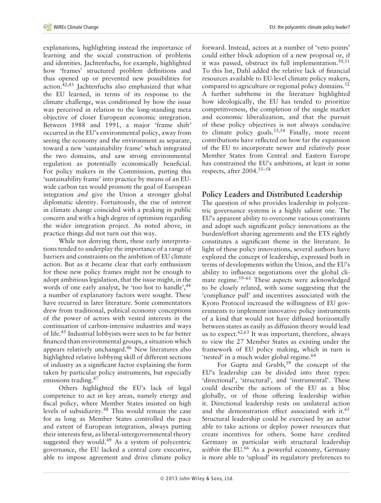explanations, highlighting instead the importance of learning and the social construction of problems and identities. Jachtenfuchs, for example, highlighted how 'frames' structured problem definitions and thus opened up or prevented new possibilities for action.42,43 Jachtenfuchs also emphasized that what the EU learned, in terms of its response to the climate challenge, was conditioned by how the issue was perceived in relation to the long-standing meta objective of closer European economic integration. Between 1988 and 1991, a major 'frame shift' occurred in the EU's environmental policy, away from seeing the economy and the environment as separate, toward a new 'sustainability frame' which integrated the two domains, and saw strong environmental regulation as potentially economically beneficial. For policy makers in the Commission, putting this 'sustainability frame' into practice by means of an EUwide carbon tax would promote the goal of European integration *and* give the Union a stronger global diplomatic identity. Fortuitously, the rise of interest in climate change coincided with a peaking in public concern and with a high degree of optimism regarding the wider integration project. As noted above, in practice things did not turn out this way.

While not denying them, these early interpretations tended to underplay the importance of a range of barriers and constraints on the ambition of EU climate action. But as it became clear that early enthusiasm for these new policy frames might not be enough to adopt ambitious legislation, that the issue might, in the words of one early analyst, be 'too hot to handle', <sup>44</sup> a number of explanatory factors were sought. These have recurred in later literature. Some commentators drew from traditional, political economy conceptions of the power of actors with vested interests in the continuation of carbon-intensive industries and ways of life.<sup>45</sup> Industrial lobbyists were seen to be far better financed than environmental groups, a situation which appears relatively unchanged.46 New literatures also highlighted relative lobbying skill of different sections of industry as a significant factor explaining the form taken by particular policy instruments, but especially emissions trading.<sup>47</sup>

Others highlighted the EU's lack of legal competence to act in key areas, namely energy and fiscal policy, where Member States insisted on high levels of subsidiarity.48 This would remain the case for as long as Member States controlled the pace and extent of European integration, always putting their interests first, as liberal-intergovernmental theory suggested they would. $49$  As a system of polycentric governance, the EU lacked a central core executive, able to impose agreement and drive climate policy forward. Instead, actors at a number of 'veto points' could either block adoption of a new proposal or, if it was passed, obstruct its full implementation. $50,51$ To this list, Dahl added the relative lack of financial resources available to EU-level climate policy makers, compared to agriculture or regional policy domains.<sup>52</sup> A further subtheme in the literature highlighted how ideologically, the EU has tended to prioritize competitiveness, the completion of the single market and economic liberalization, and that the pursuit of these policy objectives is not always conducive to climate policy goals.  $53,54$  Finally, more recent contributions have reflected on how far the expansion of the EU to incorporate newer and relatively poor Member States from Central and Eastern Europe has constrained the EU's ambitions, at least in some respects, after 2004.55–58

# **Policy Leaders and Distributed Leadership**

The question of who provides leadership in polycentric governance systems is a highly salient one. The EU's apparent ability to overcome various constraints and adopt such significant policy innovations as the burden/effort sharing agreements and the ETS rightly constitutes a significant theme in the literature. In light of these policy innovations, several authors have explored the concept of leadership, expressed both in terms of developments within the Union, and the EU's ability to influence negotiations over the global climate regime.<sup>59–61</sup> These aspects were acknowledged to be closely related, with some suggesting that the 'compliance pull' and incentives associated with the Kyoto Protocol increased the willingness of EU governments to implement innovative policy instruments of a kind that would not have diffused horizontally between states as easily as diffusion theory would lead us to expect.<sup>62,63</sup> It was important, therefore, always to view the 27 Member States as existing under the framework of EU policy making, which in turn is 'nested' in a much wider global regime.<sup>64</sup>

For Gupta and Grubb,<sup>59</sup> the concept of the EU's leadership can be divided into three types: 'directional', 'structural', and 'instrumental'. These could describe the actions of the EU as a bloc globally, or of those offering leadership within it. Directional leadership rests on unilateral action and the demonstration effect associated with it.<sup>65</sup> Structural leadership could be exercised by an actor able to take actions or deploy power resources that create incentives for others. Some have credited Germany in particular with structural leadership *within* the EU.<sup>66</sup> As a powerful economy, Germany is more able to 'upload' its regulatory preferences to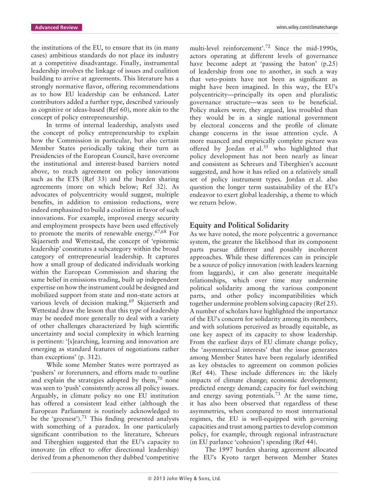the institutions of the EU, to ensure that its (in many cases) ambitious standards do not place its industry at a competitive disadvantage. Finally, instrumental leadership involves the linkage of issues and coalition building to arrive at agreements. This literature has a strongly normative flavor, offering recommendations as to how EU leadership can be enhanced. Later contributors added a further type, described variously as cognitive or ideas-based (Ref 60), more akin to the concept of policy entrepreneurship.

In terms of internal leadership, analysts used the concept of policy entrepreneurship to explain how the Commission in particular, but also certain Member States periodically taking their turn as Presidencies of the European Council, have overcome the institutional and interest-based barriers noted above, to reach agreement on policy innovations such as the ETS (Ref 33) and the burden sharing agreements (more on which below; Ref 32). As advocates of polycentricity would suggest, multiple benefits, in addition to emission reductions, were indeed emphasized to build a coalition in favor of such innovations. For example, improved energy security and employment prospects have been used effectively to promote the merits of renewable energy. $67,68$  For Skjaerseth and Wettestad, the concept of 'epistemic leadership' constitutes a subcategory within the broad category of entrepreneurial leadership. It captures how a small group of dedicated individuals working within the European Commission and sharing the same belief in emissions trading, built up independent expertise on how the instrument could be designed and mobilized support from state and non-state actors at various levels of decision making.<sup>69</sup> Skjaerseth and Wettestad draw the lesson that this type of leadership may be needed more generally to deal with a variety of other challenges characterized by high scientific uncertainty and social complexity in which learning is pertinent: '[s]earching, learning and innovation are emerging as standard features of negotiations rather than exceptions' (p. 312).

While some Member States were portrayed as 'pushers' or forerunners, and efforts made to outline and explain the strategies adopted by them, $70$  none was seen to 'push' consistently across all policy issues. Arguably, in climate policy no one EU institution has offered a consistent lead either (although the European Parliament is routinely acknowledged to be the 'greenest').<sup>71</sup> This finding presented analysts with something of a paradox. In one particularly significant contribution to the literature, Schreurs and Tiberghien suggested that the EU's capacity to innovate (in effect to offer directional leadership) derived from a phenomenon they dubbed 'competitive

multi-level reinforcement'.<sup>72</sup> Since the mid-1990s, actors operating at different levels of governance have become adept at 'passing the baton' (p.25) of leadership from one to another, in such a way that veto-points have not been as significant as might have been imagined. In this way, the EU's polycentricity—principally its open and pluralistic governance structure—was seen to be beneficial. Policy makers were, they argued, less troubled than they would be in a single national government by electoral concerns and the profile of climate change concerns in the issue attention cycle. A more nuanced and empirically complete picture was offered by Jordan et al.<sup>35</sup> who highlighted that policy development has not been nearly as linear and consistent as Schreurs and Tiberghien's account suggested, and how it has relied on a relatively small set of policy instrument types. Jordan et al. also question the longer term sustainability of the EU's endeavor to exert global leadership, a theme to which we return below.

## **Equity and Political Solidarity**

As we have noted, the more polycentric a governance system, the greater the likelihood that its component parts pursue different and possibly incoherent approaches. While these differences can in principle be a source of policy innovation (with leaders learning from laggards), it can also generate inequitable relationships, which over time may undermine political solidarity among the various component parts, and other policy incompatibilities which together undermine problem solving capacity (Ref 25). A number of scholars have highlighted the importance of the EU's concern for solidarity among its members, and with solutions perceived as broadly equitable, as one key aspect of its capacity to show leadership. From the earliest days of EU climate change policy, the 'asymmetrical interests' that the issue generates among Member States have been regularly identified as key obstacles to agreement on common policies (Ref 44). These include differences in: the likely impacts of climate change; economic development; predicted energy demand; capacity for fuel switching and energy saving potentials.<sup>73</sup> At the same time, it has also been observed that regardless of these asymmetries, when compared to most international regimes, the EU is well-equipped with governing capacities and trust among parties to develop common policy, for example, through regional infrastructure (in EU parlance 'cohesion') spending (Ref 44).

The 1997 burden sharing agreement allocated the EU's Kyoto target between Member States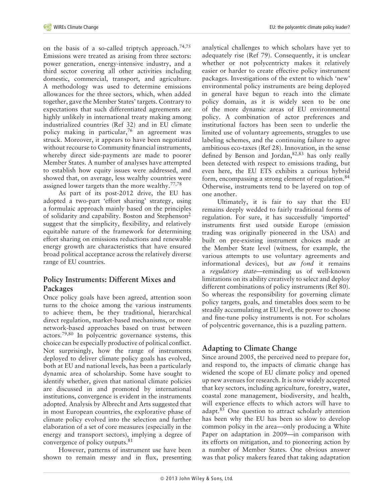on the basis of a so-called triptych approach.<sup>74,75</sup> Emissions were treated as arising from three sectors: power generation, energy-intensive industry, and a third sector covering all other activities including domestic, commercial, transport, and agriculture. A methodology was used to determine emissions allowances for the three sectors, which, when added together, gave the Member States' targets. Contrary to expectations that such differentiated agreements are highly unlikely in international treaty making among industrialized countries (Ref 32) and in EU climate policy making in particular,<sup>76</sup> an agreement was struck. Moreover, it appears to have been negotiated without recourse to Community financial instruments, whereby direct side-payments are made to poorer Member States. A number of analyses have attempted to establish how equity issues were addressed, and showed that, on average, less wealthy countries were assigned lower targets than the more wealthy.<sup>77,78</sup>

As part of its post-2012 drive, the EU has adopted a two-part 'effort sharing' strategy, using a formulaic approach mainly based on the principles of solidarity and capability. Boston and Stephenson<sup>2</sup> suggest that the simplicity, flexibility, and relatively equitable nature of the framework for determining effort sharing on emissions reductions and renewable energy growth are characteristics that have ensured broad political acceptance across the relatively diverse range of EU countries.

# **Policy Instruments: Different Mixes and Packages**

Once policy goals have been agreed, attention soon turns to the choice among the various instruments to achieve them, be they traditional, hierarchical direct regulation, market-based mechanisms, or more network-based approaches based on trust between  $\arccos$ <sup>79,80</sup> In polycentric governance systems, this choice can be especially productive of political conflict. Not surprisingly, how the range of instruments deployed to deliver climate policy goals has evolved, both at EU and national levels, has been a particularly dynamic area of scholarship. Some have sought to identify whether, given that national climate policies are discussed in and promoted by international institutions, convergence is evident in the instruments adopted. Analysis by Albrecht and Arts suggested that in most European countries, the explorative phase of climate policy evolved into the selection and further elaboration of a set of core measures (especially in the energy and transport sectors), implying a degree of convergence of policy outputs.<sup>81</sup>

However, patterns of instrument use have been shown to remain messy and in flux, presenting analytical challenges to which scholars have yet to adequately rise (Ref 79). Consequently, it is unclear whether or not polycentricty makes it relatively easier or harder to create effective policy instrument packages. Investigations of the extent to which 'new' environmental policy instruments are being deployed in general have begun to reach into the climate policy domain, as it is widely seen to be one of the more dynamic areas of EU environmental policy. A combination of actor preferences and institutional factors has been seen to underlie the limited use of voluntary agreements, struggles to use labeling schemes, and the continuing failure to agree ambitious eco-taxes (Ref 28). Innovation, in the sense defined by Benson and Jordan, $82,83$  has only really been detected with respect to emissions trading, but even here, the EU ETS exhibits a curious hybrid form, encompassing a strong element of regulation.<sup>84</sup> Otherwise, instruments tend to be layered on top of one another.

Ultimately, it is fair to say that the EU remains deeply wedded to fairly traditional forms of regulation. For sure, it has successfully 'imported' instruments first used outside Europe (emission trading was originally pioneered in the USA) and built on pre-existing instrument choices made at the Member State level (witness, for example, the various attempts to use voluntary agreements and informational devices), but *au fond* it remains a *regulatory state*—reminding us of well-known limitations on its ability creatively to select and deploy different combinations of policy instruments (Ref 80). So whereas the responsibility for governing climate policy targets, goals, and timetables does seem to be steadily accumulating at EU level, the power to choose and fine-tune policy instruments is not. For scholars of polycentric governance, this is a puzzling pattern.

# **Adapting to Climate Change**

Since around 2005, the perceived need to prepare for, and respond to, the impacts of climatic change has widened the scope of EU climate policy and opened up new avenues for research. It is now widely accepted that key sectors, including agriculture, forestry, water, coastal zone management, biodiversity, and health, will experience effects to which actors will have to adapt.<sup>85</sup> One question to attract scholarly attention has been why the EU has been so slow to develop common policy in the area—only producing a White Paper on adaptation in 2009—in comparison with its efforts on mitigation, and to pioneering action by a number of Member States. One obvious answer was that policy makers feared that taking adaptation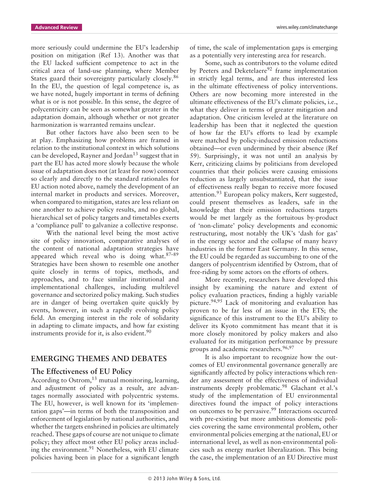more seriously could undermine the EU's leadership position on mitigation (Ref 13). Another was that the EU lacked sufficient competence to act in the critical area of land-use planning, where Member States guard their sovereignty particularly closely.<sup>86</sup> In the EU, the question of legal competence is, as we have noted, hugely important in terms of defining what is or is not possible. In this sense, the degree of polycentricity can be seen as somewhat greater in the adaptation domain, although whether or not greater harmonization is warranted remains unclear.

But other factors have also been seen to be at play. Emphasizing how problems are framed in relation to the institutional context in which solutions can be developed, Rayner and Jordan<sup>13</sup> suggest that in part the EU has acted more slowly because the whole issue of adaptation does not (at least for now) connect so clearly and directly to the standard rationales for EU action noted above, namely the development of an internal market in products and services. Moreover, when compared to mitigation, states are less reliant on one another to achieve policy results, and no global, hierarchical set of policy targets and timetables exerts a 'compliance pull' to galvanize a collective response.

With the national level being the most active site of policy innovation, comparative analyses of the content of national adaptation strategies have appeared which reveal who is doing what. $87-89$ Strategies have been shown to resemble one another quite closely in terms of topics, methods, and approaches, and to face similar institutional and implementational challenges, including multilevel governance and sectorized policy making. Such studies are in danger of being overtaken quite quickly by events, however, in such a rapidly evolving policy field. An emerging interest in the role of solidarity in adapting to climate impacts, and how far existing instruments provide for it, is also evident.  $90$ 

## **EMERGING THEMES AND DEBATES**

## **The Effectiveness of EU Policy**

According to Ostrom,  $13$  mutual monitoring, learning, and adjustment of policy as a result, are advantages normally associated with polycentric systems. The EU, however, is well known for its 'implementation gaps'—in terms of both the transposition and enforcement of legislation by national authorities, and whether the targets enshrined in policies are ultimately reached. These gaps of course are not unique to climate policy; they affect most other EU policy areas including the environment.<sup>91</sup> Nonetheless, with EU climate policies having been in place for a significant length of time, the scale of implementation gaps is emerging as a potentially very interesting area for research.

Some, such as contributors to the volume edited by Peeters and Deketelaere<sup>92</sup> frame implementation in strictly legal terms, and are thus interested less in the ultimate effectiveness of policy interventions. Others are now becoming more interested in the ultimate effectiveness of the EU's climate policies, i.e., what they deliver in terms of greater mitigation and adaptation. One criticism leveled at the literature on leadership has been that it neglected the question of how far the EU's efforts to lead by example were matched by policy-induced emission reductions obtained—or even undermined by their absence (Ref 59). Surprisingly, it was not until an analysis by Kerr, criticizing claims by politicians from developed countries that their policies were causing emissions reduction as largely unsubstantiated, that the issue of effectiveness really began to receive more focused attention.<sup>93</sup> European policy makers, Kerr suggested, could present themselves as leaders, safe in the knowledge that their emission reductions targets would be met largely as the fortuitous by-product of 'non-climate' policy developments and economic restructuring, most notably the UK's 'dash for gas' in the energy sector and the collapse of many heavy industries in the former East Germany. In this sense, the EU could be regarded as succumbing to one of the dangers of polycentrism identified by Ostrom, that of free-riding by some actors on the efforts of others.

More recently, researchers have developed this insight by examining the nature and extent of policy evaluation practices, finding a highly variable picture.94,95 Lack of monitoring and evaluation has proven to be far less of an issue in the ETS; the significance of this instrument to the EU's ability to deliver its Kyoto commitment has meant that it is more closely monitored by policy makers and also evaluated for its mitigation performance by pressure groups and academic researchers.<sup>96,97</sup>

It is also important to recognize how the outcomes of EU environmental governance generally are significantly affected by policy interactions which render any assessment of the effectiveness of individual instruments deeply problematic.<sup>98</sup> Glachant et al.'s study of the implementation of EU environmental directives found the impact of policy interactions on outcomes to be pervasive.<sup>99</sup> Interactions occurred with pre-existing but more ambitious domestic policies covering the same environmental problem, other environmental policies emerging at the national, EU or international level, as well as non-environmental policies such as energy market liberalization. This being the case, the implementation of an EU Directive must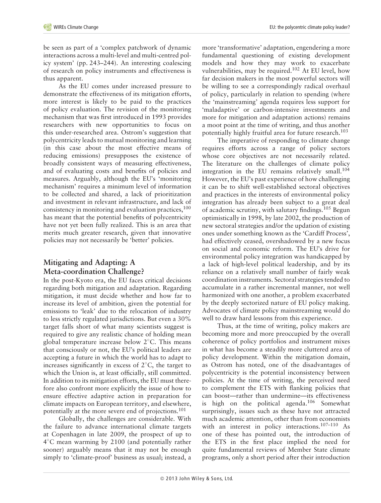be seen as part of a 'complex patchwork of dynamic interactions across a multi-level and multi-centred policy system' (pp. 243–244). An interesting coalescing of research on policy instruments and effectiveness is thus apparent.

As the EU comes under increased pressure to demonstrate the effectiveness of its mitigation efforts, more interest is likely to be paid to the practices of policy evaluation. The revision of the monitoring mechanism that was first introduced in 1993 provides researchers with new opportunities to focus on this under-researched area. Ostrom's suggestion that polycentricity leads to mutual monitoring and learning (in this case about the most effective means of reducing emissions) presupposes the existence of broadly consistent ways of measuring effectiveness, and of evaluating costs and benefits of policies and measures. Arguably, although the EU's 'monitoring mechanism' requires a minimum level of information to be collected and shared, a lack of prioritization and investment in relevant infrastructure, and lack of consistency in monitoring and evaluation practices, 100 has meant that the potential benefits of polycentricity have not yet been fully realized. This is an area that merits much greater research, given that innovative policies may not necessarily be 'better' policies.

# **Mitigating and Adapting: A Meta-coordination Challenge?**

In the post-Kyoto era, the EU faces critical decisions regarding both mitigation and adaptation. Regarding mitigation, it must decide whether and how far to increase its level of ambition, given the potential for emissions to 'leak' due to the relocation of industry to less strictly regulated jurisdictions. But even a 30% target falls short of what many scientists suggest is required to give any realistic chance of holding mean global temperature increase below 2◦ C. This means that consciously or not, the EU's political leaders are accepting a future in which the world has to adapt to increases significantly in excess of 2◦ C, the target to which the Union is, at least officially, still committed. In addition to its mitigation efforts, the EU must therefore also confront more explicitly the issue of how to ensure effective adaptive action in preparation for climate impacts on European territory, and elsewhere, potentially at the more severe end of projections.<sup>101</sup>

Globally, the challenges are considerable. With the failure to advance international climate targets at Copenhagen in late 2009, the prospect of up to 4◦ C mean warming by 2100 (and potentially rather sooner) arguably means that it may not be enough simply to 'climate-proof' business as usual; instead, a

more 'transformative' adaptation, engendering a more fundamental questioning of existing development models and how they may work to exacerbate vulnerabilities, may be required.102 At EU level, how far decision makers in the most powerful sectors will be willing to see a correspondingly radical overhaul of policy, particularly in relation to spending (where the 'mainstreaming' agenda requires less support for 'maladaptive' or carbon-intensive investments and more for mitigation and adaptation actions) remains a moot point at the time of writing, and thus another potentially highly fruitful area for future research.<sup>103</sup>

The imperative of responding to climate change requires efforts across a range of policy sectors whose core objectives are not necessarily related. The literature on the challenges of climate policy integration in the EU remains relatively small.<sup>104</sup> However, the EU's past experience of how challenging it can be to shift well-established sectoral objectives and practices in the interests of environmental policy integration has already been subject to a great deal of academic scrutiny, with salutary findings.<sup>105</sup> Begun optimistically in 1998, by late 2002, the production of new sectoral strategies and/or the updation of existing ones under something known as the 'Cardiff Process', had effectively ceased, overshadowed by a new focus on social and economic reform. The EU's drive for environmental policy integration was handicapped by a lack of high-level political leadership, and by its reliance on a relatively small number of fairly weak coordination instruments. Sectoral strategies tended to accumulate in a rather incremental manner, not well harmonized with one another, a problem exacerbated by the deeply sectorized nature of EU policy making. Advocates of climate policy mainstreaming would do well to draw hard lessons from this experience.

Thus, at the time of writing, policy makers are becoming more and more preoccupied by the overall coherence of policy portfolios and instrument mixes in what has become a steadily more cluttered area of policy development. Within the mitigation domain, as Ostrom has noted, one of the disadvantages of polycentricity is the potential inconsistency between policies. At the time of writing, the perceived need to complement the ETS with flanking policies that can boost—rather than undermine—its effectiveness is high on the political agenda.<sup>106</sup> Somewhat surprisingly, issues such as these have not attracted much academic attention, other than from economists with an interest in policy interactions.<sup>107-110</sup> As one of these has pointed out, the introduction of the ETS in the first place implied the need for quite fundamental reviews of Member State climate programs, only a short period after their introduction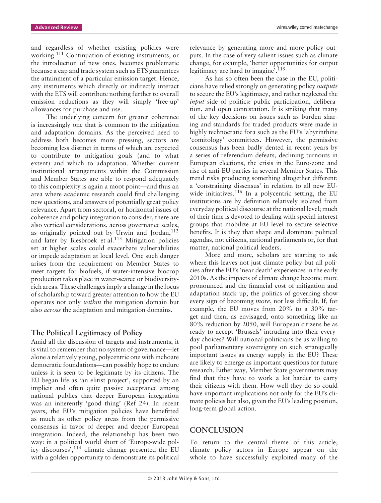and regardless of whether existing policies were working.111 Continuation of existing instruments, or the introduction of new ones, becomes problematic because a cap and trade system such as ETS guarantees the attainment of a particular emission target. Hence, any instruments which directly or indirectly interact with the ETS will contribute nothing further to overall emission reductions as they will simply 'free-up' allowances for purchase and use.

The underlying concern for greater coherence is increasingly one that is common to the mitigation and adaptation domains. As the perceived need to address both becomes more pressing, sectors are becoming less distinct in terms of which are expected to contribute to mitigation goals (and to what extent) and which to adaptation. Whether current institutional arrangements within the Commission and Member States are able to respond adequately to this complexity is again a moot point—and thus an area where academic research could find challenging new questions, and answers of potentially great policy relevance. Apart from sectoral, or horizontal issues of coherence and policy integration to consider, there are also vertical considerations, across governance scales, as originally pointed out by Urwin and Jordan,  $112$ and later by Biesbroek et al. $113$  Mitigation policies set at higher scales could exacerbate vulnerabilities or impede adaptation at local level. One such danger arises from the requirement on Member States to meet targets for biofuels, if water-intensive biocrop production takes place in water-scarce or biodiversityrich areas. These challenges imply a change in the focus of scholarship toward greater attention to how the EU operates not only *within* the mitigation domain but also *across* the adaptation and mitigation domains.

### **The Political Legitimacy of Policy**

Amid all the discussion of targets and instruments, it is vital to remember that no system of governance—let alone a relatively young, polycentric one with inchoate democratic foundations—can possibly hope to endure unless it is seen to be legitimate by its citizens. The EU began life as 'an elitist project', supported by an implicit and often quite passive acceptance among national publics that deeper European integration was an inherently 'good thing' (Ref 24). In recent years, the EU's mitigation policies have benefitted as much as other policy areas from the permissive consensus in favor of deeper and deeper European integration. Indeed, the relationship has been two way: in a political world short of 'Europe-wide policy discourses',<sup>114</sup> climate change presented the EU with a golden opportunity to demonstrate its political relevance by generating more and more policy outputs. In the case of very salient issues such as climate change, for example, 'better opportunities for output legitimacy are hard to imagine<sup>5</sup>.<sup>115</sup>

As has so often been the case in the EU, politicians have relied strongly on generating policy *outputs* to secure the EU's legitimacy, and rather neglected the *input* side of politics: public participation, deliberation, and open contestation. It is striking that many of the key decisions on issues such as burden sharing and standards for traded products were made in highly technocratic fora such as the EU's labyrinthine 'comitology' committees. However, the permissive consensus has been badly dented in recent years by a series of referendum defeats, declining turnouts in European elections, the crisis in the Euro-zone and rise of anti-EU parties in several Member States. This trend risks producing something altogether different: a 'constraining dissensus' in relation to all new EUwide initiatives.<sup>116</sup> In a polycentric setting, the EU institutions are by definition relatively isolated from everyday political discourse at the national level; much of their time is devoted to dealing with special interest groups that mobilize at EU level to secure selective benefits. It is they that shape and dominate political agendas, not citizens, national parliaments or, for that matter, national political leaders.

More and more, scholars are starting to ask where this leaves not just climate policy but all policies after the EU's 'near death' experiences in the early 2010s. As the impacts of climate change become more pronounced and the financial cost of mitigation and adaptation stack up, the politics of governing show every sign of becoming *more*, not less difficult. If, for example, the EU moves from 20% to a 30% target and then, as envisaged, onto something like an 80% reduction by 2050, will European citizens be as ready to accept 'Brussels' intruding into their everyday choices? Will national politicians be as willing to pool parliamentary sovereignty on such strategically important issues as energy supply in the EU? These are likely to emerge as important questions for future research. Either way, Member State governments may find that they have to work a lot harder to carry their citizens with them. How well they do so could have important implications not only for the EU's climate policies but also, given the EU's leading position, long-term global action.

## **CONCLUSION**

To return to the central theme of this article, climate policy actors in Europe appear on the whole to have successfully exploited many of the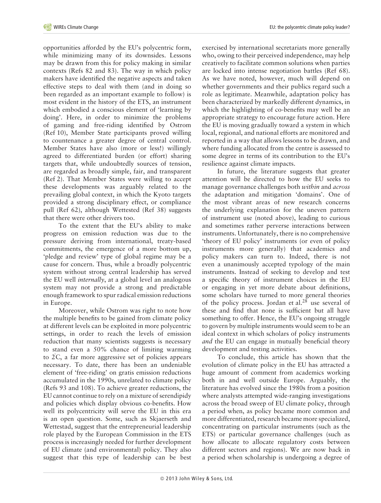opportunities afforded by the EU's polycentric form, while minimizing many of its downsides. Lessons may be drawn from this for policy making in similar contexts (Refs 82 and 83). The way in which policy makers have identified the negative aspects and taken effective steps to deal with them (and in doing so been regarded as an important example to follow) is most evident in the history of the ETS, an instrument which embodied a conscious element of 'learning by doing'. Here, in order to minimize the problems of gaming and free-riding identified by Ostrom (Ref 10), Member State participants proved willing to countenance a greater degree of central control. Member States have also (more or less!) willingly agreed to differentiated burden (or effort) sharing targets that, while undoubtedly sources of tension, are regarded as broadly simple, fair, and transparent (Ref 2). That Member States were willing to accept these developments was arguably related to the prevailing global context, in which the Kyoto targets provided a strong disciplinary effect, or compliance pull (Ref 62), although Wettested (Ref 38) suggests that there were other drivers too.

To the extent that the EU's ability to make progress on emission reduction was due to the pressure deriving from international, treaty-based commitments, the emergence of a more bottom up, 'pledge and review' type of global regime may be a cause for concern. Thus, while a broadly polycentric system without strong central leadership has served the EU well *internally*, at a global level an analogous system may not provide a strong and predictable enough framework to spur radical emission reductions in Europe.

Moreover, while Ostrom was right to note how the multiple benefits to be gained from climate policy at different levels can be exploited in more polycentric settings, in order to reach the levels of emission reduction that many scientists suggests is necessary to stand even a 50% chance of limiting warming to 2˚ C, a far more aggressive set of policies appears necessary. To date, there has been an undeniable element of 'free-riding' on gratis emission reductions accumulated in the 1990s, unrelated to climate policy (Refs 93 and 108). To achieve greater reductions, the EU cannot continue to rely on a mixture of serendipidy and policies which display obvious co-benefits. How well its polycentricity will serve the EU in this era is an open question. Some, such as Skjaerseth and Wettestad, suggest that the entrepreneurial leadership role played by the European Commission in the ETS process is increasingly needed for further development of EU climate (and environmental) policy. They also suggest that this type of leadership can be best exercised by international secretariats more generally who, owing to their perceived independence, may help creatively to facilitate common solutions when parties are locked into intense negotiation battles (Ref 68). As we have noted, however, much will depend on whether governments and their publics regard such a role as legitimate. Meanwhile, adaptation policy has been characterized by markedly different dynamics, in which the highlighting of co-benefits may well be an appropriate strategy to encourage future action. Here the EU is moving gradually toward a system in which local, regional, and national efforts are monitored and reported in a way that allows lessons to be drawn, and where funding allocated from the centre is assessed to some degree in terms of its contribution to the EU's resilience against climate impacts.

In future, the literature suggests that greater attention will be directed to how the EU seeks to manage governance challenges both *within* and *across* the adaptation and mitigation 'domains'. One of the most vibrant areas of new research concerns the underlying explanation for the uneven pattern of instrument use (noted above), leading to curious and sometimes rather perverse interactions between instruments. Unfortunately, there is no comprehensive 'theory of EU policy' instruments (or even of policy instruments more generally) that academics and policy makers can turn to. Indeed, there is not even a unanimously accepted typology of the main instruments. Instead of seeking to develop and test a specific theory of instrument choices in the EU or engaging in yet more debate about definitions, some scholars have turned to more general theories of the policy process. Jordan et al. $28$  use several of these and find that none is sufficient but all have something to offer. Hence, the EU's ongoing struggle to govern by multiple instruments would seem to be an ideal context in which scholars of policy instruments *and* the EU can engage in mutually beneficial theory development and testing activities.

To conclude, this article has shown that the evolution of climate policy in the EU has attracted a huge amount of comment from academics working both in and well outside Europe. Arguably, the literature has evolved since the 1980s from a position where analysts attempted wide-ranging investigations across the broad sweep of EU climate policy, through a period when, as policy became more common and more differentiated, research became more specialized, concentrating on particular instruments (such as the ETS) or particular governance challenges (such as how allocate to allocate regulatory costs between different sectors and regions). We are now back in a period when scholarship is undergoing a degree of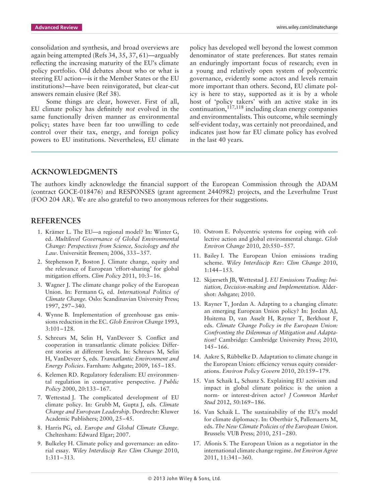consolidation and synthesis, and broad overviews are again being attempted (Refs 34, 35, 37, 61)—arguably reflecting the increasing maturity of the EU's climate policy portfolio. Old debates about who or what is steering EU action—is it the Member States or the EU institutions?—have been reinvigorated, but clear-cut answers remain elusive (Ref 38).

Some things are clear, however. First of all, EU climate policy has definitely *not* evolved in the same functionally driven manner as environmental policy; states have been far too unwilling to cede control over their tax, energy, and foreign policy powers to EU institutions. Nevertheless, EU climate

policy has developed well beyond the lowest common denominator of state preferences. But states remain an enduringly important focus of research; even in a young and relatively open system of polycentric governance, evidently some actors and levels remain more important than others. Second, EU climate policy is here to stay, supported as it is by a whole host of 'policy takers' with an active stake in its continuation,  $117,118$  including clean energy companies and environmentalists. This outcome, while seemingly self-evident today, was certainly not preordained, and indicates just how far EU climate policy has evolved in the last 40 years.

#### **ACKNOWLEDGMENTS**

The authors kindly acknowledge the financial support of the European Commission through the ADAM (contract GOCE-018476) and RESPONSES (grant agreement 2440982) projects, and the Leverhulme Trust (FOO 204 AR). We are also grateful to two anonymous referees for their suggestions.

#### **REFERENCES**

- 1. Krämer L. The EU—a regional model? In: Winter G, ed. *Multilevel Governance of Global Environmental Change: Perspectives from Science, Sociology and the Law.* Universität Bremen; 2006, 333–357.
- 2. Stephenson P, Boston J. Climate change, equity and the relevance of European 'effort-sharing' for global mitigation efforts. *Clim Policy* 2011, 10:3–16.
- 3. Wagner J. The climate change policy of the European Union. In: Fermann G, ed. *International Politics of Climate Change.* Oslo: Scandinavian University Press; 1997, 297–340.
- 4. Wynne B. Implementation of greenhouse gas emissions reduction in the EC. *Glob Environ Change* 1993, 3:101–128.
- 5. Schreurs M, Selin H, VanDeveer S. Conflict and cooperation in transatlantic climate policies: Different stories at different levels. In: Schreurs M, Selin H, VanDeveer S, eds. *Transatlantic Environment and Energy Policies*. Farnham: Ashgate; 2009, 165–185.
- 6. Kelemen RD. Regulatory federalism: EU environmental regulation in comparative perspective. *J Public Policy* 2000, 20:133–167.
- 7. Wettestad J. The complicated development of EU climate policy. In: Grubb M, Gupta J, eds. *Climate Change and European Leadership*. Dordrecht: Kluwer Academic Publishers; 2000, 25–45.
- 8. Harris PG, ed. *Europe and Global Climate Change.* Cheltenham: Edward Elgar; 2007.
- 9. Bulkeley H. Climate policy and governance: an editorial essay. *Wiley Interdiscip Rev Clim Change* 2010, 1:311–313.
- 10. Ostrom E. Polycentric systems for coping with collective action and global environmental change. *Glob Environ Change* 2010, 20:550–557.
- 11. Bailey I. The European Union emissions trading scheme. *Wiley Interdiscip Rev: Clim Change* 2010, 1:144–153.
- 12. Skjærseth JB, Wettestad J. *EU Emissions Trading: Initiation, Decision-making and Implementation.* Aldershot: Ashgate; 2010.
- 13. Rayner T, Jordan A. Adapting to a changing climate: an emerging European Union policy? In: Jordan AJ, Huitema D, van Asselt H, Rayner T, Berkhout F, eds. *Climate Change Policy in the European Union: Confronting the Dilemmas of Mitigation and Adaptation?* Cambridge: Cambridge University Press; 2010, 145–166.
- 14. Aakre S, Rübbelke D. Adaptation to climate change in the European Union: efficiency versus equity considerations. *Environ Policy Govern* 2010, 20:159–179.
- 15. Van Schaik L, Schunz S. Explaining EU activism and impact in global climate politics: is the union a norm- or interest-driven actor? *J Common Market Stud* 2012, 50:169–186.
- 16. Van Schaik L. The sustainability of the EU's model for climate diplomacy. In: Oberthür S, Pallemaerts M, eds. *The New Climate Policies of the European Union*. Brussels: VUB Press; 2010, 251–280.
- 17. Afionis S. The European Union as a negotiator in the international climate change regime.*Int Environ Agree* 2011, 11:341–360.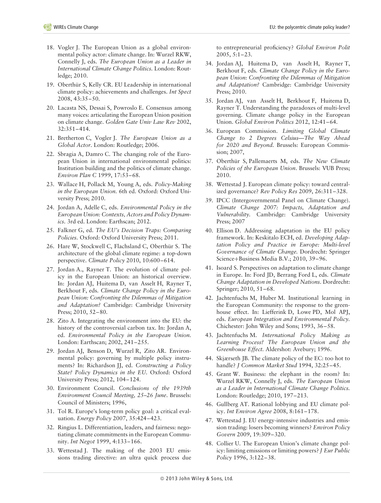- 18. Vogler J. The European Union as a global environmental policy actor: climate change. In: Wurzel RKW, Connelly J, eds. *The European Union as a Leader in International Climate Change Politics.* London: Routledge; 2010.
- 19. Oberthür S, Kelly CR. EU Leadership in international climate policy: achievements and challenges. *Int Spect* 2008, 43:35–50.
- 20. Lacasta NS, Dessai S, Powroslo E. Consensus among many voices: articulating the European Union position on climate change. *Golden Gate Univ Law Rev* 2002, 32:351–414.
- 21. Bretherton C, Vogler J. *The European Union as a Global Actor.* London: Routledge; 2006.
- 22. Sbragia A, Damro C. The changing role of the European Union in international environmental politics: Institution building and the politics of climate change. *Environ Plan C* 1999, 17:53–68.
- 23. Wallace H, Pollack M, Young A, eds. *Policy-Making in the European Union.* 6th ed. Oxford: Oxford University Press; 2010.
- 24. Jordan A, Adelle C, eds. *Environmental Policy in the European Union: Contexts, Actors and Policy Dynamics.* 3rd ed. London: Earthscan; 2012.
- 25. Falkner G, ed. *The EU's Decision Traps: Comparing Policies.* Oxford: Oxford University Press; 2011.
- 26. Hare W, Stockwell C, Flachsland C, Oberthür S. The architecture of the global climate regime: a top-down perspective. *Climate Policy* 2010, 10:600–614.
- 27. Jordan A., Rayner T. The evolution of climate policy in the European Union: an historical overview. In: Jordan AJ, Huitema D, van Asselt H, Rayner T, Berkhout F, eds. *Climate Change Policy in the European Union: Confronting the Dilemmas of Mitigation and Adaptation?* Cambridge: Cambridge University Press; 2010, 52–80.
- 28. Zito A. Integrating the environment into the EU: the history of the controversial carbon tax. In: Jordan A, ed. *Environmental Policy in the European Union.* London: Earthscan; 2002, 241–255.
- 29. Jordan AJ, Benson D, Wurzel R, Zito AR. Environmental policy: governing by multiple policy instruments? In: Richardson JJ, ed. *Constructing a Policy State? Policy Dynamics in the EU.* Oxford: Oxford University Press; 2012, 104–124.
- 30. Environment Council. *Conclusions of the 1939th Environment Council Meeting, 25–26 June*. Brussels: Council of Ministers; 1996,
- 31. Tol R. Europe's long-term policy goal: a critical evaluation. *Energy Policy* 2007, 35:424–423.
- 32. Ringius L. Differentiation, leaders, and fairness: negotiating climate commitments in the European Community. *Int Negot* 1999, 4:133–166.
- 33. Wettestad J. The making of the 2003 EU emissions trading directive: an ultra quick process due

to entrepreneurial proficiency? *Global Environ Polit* 2005, 5:1–23.

- 34. Jordan AJ, Huitema D, van Asselt H, Rayner T, Berkhout F, eds. *Climate Change Policy in the European Union: Confronting the Dilemmas of Mitigation and Adaptation?* Cambridge: Cambridge University Press; 2010.
- 35. Jordan AJ, van Asselt H, Berkhout F, Huitema D, Rayner T. Understanding the paradoxes of multi-level governing. Climate change policy in the European Union. *Global Environ Politics* 2012, 12:41–64.
- 36. European Commission. *Limiting Global Climate Change to 2 Degrees Celsius—The Way Ahead for 2020 and Beyond.* Brussels: European Commission; 2007,
- 37. Oberthür S, Pallemaerts M, eds. The New Climate *Policies of the European Union*. Brussels: VUB Press; 2010.
- 38. Wettestad J. European climate policy: toward centralized governance? *Rev Policy Res* 2009, 26:311–328.
- 39. IPCC (Intergovernmental Panel on Climate Change). *Climate Change 2007: Impacts, Adaptation and Vulnerability.* Cambridge: Cambridge University Press; 2007
- 40. Ellison D. Addressing adaptation in the EU policy framework. In: Keskitalo ECH, ed. *Developing Adaptation Policy and Practice in Europe: Multi-level Governance of Climate Change.* Dordrecht: Springer Science+Business Media B.V.; 2010, 39–96.
- 41. Isoard S. Perspectives on adaptation to climate change in Europe. In: Ford JD, Berrang Ford L, eds. *Climate Change Adaptation in Developed Nations.* Dordrecht: Springer; 2010, 51–68.
- 42. Jachtenfuchs M, Huber M. Institutional learning in the European Community: the response to the greenhouse effect. In: Liefferink D, Lowe PD, Mol APJ, eds. *European Integration and Environmental Policy.* Chichester: John Wiley and Sons; 1993, 36–58.
- 43. Jachtenfuchs M. *International Policy Making as Learning Process? The European Union and the Greenhouse Effect.* Aldershot: Avebury; 1996.
- 44. Skjærseth JB. The climate policy of the EC: too hot to handle? *J Common Market Stud* 1994, 32:25–45.
- 45. Grant W. Business: the elephant in the room? In: Wurzel RKW, Connelly J, eds. *The European Union as a Leader in International Climate Change Politics.* London: Routledge; 2010, 197–213.
- 46. Gullberg AT. Rational lobbying and EU climate policy. *Int Environ Agree* 2008, 8:161–178.
- 47. Wettestad J. EU energy-intensive industries and emission trading: losers becoming winners? *Environ Policy Govern* 2009, 19:309–320.
- 48. Collier U. The European Union's climate change policy: limiting emissions or limiting powers? *J Eur Public Policy* 1996, 3:122–38.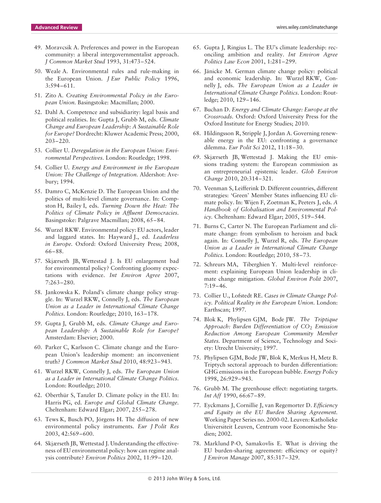- 49. Moravcsik A. Preferences and power in the European community: a liberal intergovernmentalist approach. *J Common Market Stud* 1993, 31:473–524.
- 50. Weale A. Environmental rules and rule-making in the European Union. *J Eur Public Policy* 1996, 3:594–611.
- 51. Zito A. *Creating Environmental Policy in the European Union.* Basingstoke: Macmillan; 2000.
- 52. Dahl A. Competence and subsidiarity: legal basis and political realities. In: Gupta J, Grubb M, eds. *Climate Change and European Leadership: A Sustainable Role for Europe?* Dordrecht: Kluwer Academic Press; 2000, 203–220.
- 53. Collier U. *Deregulation in the European Union: Environmental Perspectives.* London: Routledge; 1998.
- 54. Collier U. *Energy and Environment in the European Union: The Challenge of Integration.* Aldershot: Avebury; 1994.
- 55. Damro C, McKenzie D. The European Union and the politics of multi-level climate governance. In: Compston H, Bailey I, eds. *Turning Down the Heat: The Politics of Climate Policy in Affluent Democracies.* Basingstoke: Palgrave Macmillan; 2008, 65–84.
- 56. Wurzel RKW. Environmental policy: EU actors, leader and laggard states. In: Hayward J., ed. *Leaderless in Europe.* Oxford: Oxford University Press; 2008, 66–88.
- 57. Skjærseth JB, Wettestad J. Is EU enlargement bad for environmental policy? Confronting gloomy expectations with evidence. *Int Environ Agree* 2007, 7:263–280.
- 58. Jankowska K. Poland's climate change policy struggle. In: Wurzel RKW, Connelly J, eds. *The European Union as a Leader in International Climate Change Politics.* London: Routledge; 2010, 163–178.
- 59. Gupta J, Grubb M, eds. *Climate Change and European Leadership: A Sustainable Role for Europe?* Amsterdam: Elsevier; 2000.
- 60. Parker C, Karlsson C. Climate change and the European Union's leadership moment: an inconvenient truth? *J Common Market Stud* 2010, 48:923–943.
- 61. Wurzel RKW, Connelly J, eds. *The European Union as a Leader in International Climate Change Politics.* London: Routledge; 2010.
- 62. Oberthür S, Tanzler D. Climate policy in the EU. In: Harris PG, ed. *Europe and Global Climate Change.* Cheltenham: Edward Elgar; 2007, 255–278.
- 63. Tews K, Busch PO, Jörgens H. The diffusion of new environmental policy instruments. *Eur J Polit Res* 2003, 42:569–600.
- 64. Skjærseth JB, Wettestad J. Understanding the effectiveness of EU environmental policy: how can regime analysis contribute? *Environ Politics* 2002, 11:99–120.
- 65. Gupta J, Ringius L. The EU's climate leadership: reconciling ambition and reality. *Int Environ Agree Politics Law Econ* 2001, 1:281–299.
- 66. Jänicke M. German climate change policy: political and economic leadership. In: Wurzel RKW, Connelly J, eds. *The European Union as a Leader in International Climate Change Politics.* London: Routledge; 2010, 129–146.
- 67. Buchan D. *Energy and Climate Change: Europe at the Crossroads.* Oxford: Oxford University Press for the Oxford Institute for Energy Studies; 2010.
- 68. Hildingsson R, Stripple J, Jordan A. Governing renewable energy in the EU: confronting a governance dilemma. *Eur Polit Sci* 2012, 11:18–30.
- 69. Skjærseth JB, Wettestad J. Making the EU emissions trading system: the European commission as an entrepreneurial epistemic leader. *Glob Environ Change* 2010, 20:314–321.
- 70. Veenman S, Leifferink D. Different countries, different strategies: 'Green' Member States influencing EU climate policy. In: Wijen F, Zoetman K, Peeters J, eds. *A Handbook of Globalisation and Environmental Policy.* Cheltenham: Edward Elgar; 2005, 519–544.
- 71. Burns C, Carter N. The European Parliament and climate change: from symbolism to heroism and back again. In: Connelly J, Wurzel R, eds. *The European Union as a Leader in International Climate Change Politics.* London: Routledge; 2010, 58–73.
- 72. Schreurs MA, Tiberghien Y. Multi-level reinforcement: explaining European Union leadership in climate change mitigation. *Global Environ Polit* 2007, 7:19–46.
- 73. Collier U., Lofstedt RE. *Cases in Climate Change Policy. Political Reality in the European Union.* London: Earthscan; 1997.
- 74. Blok K, Phylipsen GJM, Bode JW. *The Triptique Approach: Burden Differentiation of CO*<sup>2</sup> *Emission Reduction Among European Community Member States.* Department of Science, Technology and Society: Utrecht University; 1997.
- 75. Phylipsen GJM, Bode JW, Blok K, Merkus H, Metz B. Triptych sectoral approach to burden differentiation: GHG emissions in the European bubble. *Energy Policy* 1998, 26:929–943.
- 76. Grubb M. The greenhouse effect: negotiating targets. *Int Aff* 1990, 66:67–89.
- 77. Eyckmans J, Cornillie J, van Regemorter D. *Efficiency and Equity in the EU Burden Sharing Agreement.* Working Paper Series no. 2000-02. Leuven: Katholieke Universiteit Leuven, Centrum voor Economische Studien; 2002.
- 78. Marklund P-O, Samakovlis E. What is driving the EU burden-sharing agreement: efficiency or equity? *J Environ Manage* 2007, 85:317–329.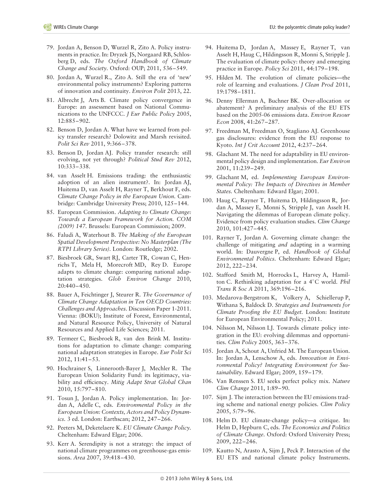- 79. Jordan A, Benson D, Wurzel R, Zito A. Policy instruments in practice. In: Dryzek JS, Norgaard RB, Schlosberg D, eds. *The Oxford Handbook of Climate Change and Society.* Oxford: OUP; 2011, 536–549.
- 80. Jordan A, Wurzel R., Zito A. Still the era of 'new' environmental policy instruments? Exploring patterns of innovation and continuity. *Environ Polit* 2013, 22.
- 81. Albrecht J, Arts B. Climate policy convergence in Europe: an assessment based on National Communications to the UNFCCC. *J Eur Public Policy* 2005, 12:885–902.
- 82. Benson D, Jordan A. What have we learned from policy transfer research? Dolowitz and Marsh revisited. *Polit Sci Rev* 2011, 9:366–378.
- 83. Benson D, Jordan AJ. Policy transfer research: still evolving, not yet through? *Political Stud Rev* 2012, 10:333–338.
- 84. van Asselt H. Emissions trading: the enthusiastic adoption of an alien instrument?. In: Jordan AJ, Huitema D, van Asselt H, Rayner T, Berkhout F, eds. *Climate Change Policy in the European Union.* Cambridge: Cambridge University Press; 2010, 125–144.
- 85. European Commission. *Adapting to Climate Change: Towards a European Framework for Action. COM (2009) 147.* Brussels: European Commission; 2009.
- 86. Faludi A, Waterhout B. *The Making of the European Spatial Development Perspective: No Masterplan (The RTPI Library Series).* London: Routledge; 2002.
- 87. Biesbroek GR, Swart RJ, Carter TR, Cowan C, Henrichs T, Mela H, Morecroft MD, Rey D. Europe adapts to climate change: comparing national adaptation strategies. *Glob Environ Change* 2010, 20:440–450.
- 88. Bauer A, Feichtinger J, Steurer R. *The Governance of Climate Change Adaptation in Ten OECD Countries: Challenges and Approaches.* Discussion Paper 1-2011. Vienna: (BOKU); Institute of Forest, Environmental, and Natural Resource Policy, University of Natural Resources and Applied Life Sciences; 2011.
- 89. Termeer C, Biesbroek R, van den Brink M. Institutions for adaptation to climate change: comparing national adaptation strategies in Europe. *Eur Polit Sci* 2012, 11:41–53.
- 90. Hochrainer S, Linnerooth-Bayer J, Mechler R. The European Union Solidarity Fund: its legitimacy, viability and efficiency. *Mitig Adapt Strat Global Chan* 2010, 15:797–810.
- 91. Tosun J, Jordan A. Policy implementation. In: Jordan A, Adelle C, eds. *Environmental Policy in the European Union: Contexts, Actors and Policy Dynamics.* 3 ed. London: Earthscan; 2012, 247–266.
- 92. Peeters M, Deketelaere K. *EU Climate Change Policy.* Cheltenham: Edward Elgar; 2006.
- 93. Kerr A. Serendipity is not a strategy: the impact of national climate programmes on greenhouse-gas emissions. *Area* 2007, 39:418–430.
- 94. Huitema D, Jordan A, Massey E, Rayner T, van Asselt H, Haug C, Hildingsson R, Monni S, Stripple J. The evaluation of climate policy: theory and emerging practice in Europe. *Policy Sci* 2011, 44:179–198.
- 95. Hilden M. The evolution of climate policies—the role of learning and evaluations. *J Clean Prod* 2011, 19:1798–1811.
- 96. Denny Ellerman A, Buchner BK. Over-allocation or abatement? A preliminary analysis of the EU ETS based on the 2005-06 emissions data. *Environ Resour Econ* 2008, 41:267–287.
- 97. Freedman M, Freedman O, Stagliano AJ. Greenhouse gas disclosures: evidence from the EU response to Kyoto. *Int J Crit Account* 2012, 4:237–264.
- 98. Glachant M. The need for adaptability in EU environmental policy design and implementation. *Eur Environ* 2001, 11:239–249.
- 99. Glachant M, ed. *Implementing European Environmental Policy: The Impacts of Directives in Member States.* Cheltenham: Edward Elgar; 2001.
- 100. Haug C, Rayner T, Huitema D, Hildingsson R, Jordan A, Massey E, Monni S, Stripple J, van Asselt H. Navigating the dilemmas of European climate policy. Evidence from policy evaluation studies. *Clim Change* 2010, 101:427–445.
- 101. Rayner T, Jordan A. Governing climate change: the challenge of mitigating *and* adapting in a warming world. In: Dauvergne P, ed. *Handbook of Global Environmental Politics.* Cheltenham: Edward Elgar; 2012, 222–234.
- 102. Stafford Smith M, Horrocks L, Harvey A, Hamilton C. Rethinking adaptation for a 4◦ C world. *Phil Trans R Soc A* 2011, 369:196–216.
- 103. Medarova-Bergstrom K, Volkery A, Schiellerup P, Withana S, Baldock D. *Strategies and Instruments for Climate Proofing the EU Budget.* London: Institute for European Environmental Policy; 2011.
- 104. Nilsson M, Nilsson LJ. Towards climate policy integration in the EU: evolving dilemmas and opportunities. *Clim Policy* 2005, 363–376.
- 105. Jordan A, Schout A, Unfried M. The European Union. In: Jordan A, Lenschow A, eds. *Innovation in Environmental Policy? Integrating Environment for Sustainability.* Edward Elgar; 2009, 159–179.
- 106. Van Renssen S. EU seeks perfect policy mix. *Nature Clim Change* 2011, 1:89–90.
- 107. Sijm J. The interaction between the EU emissions trading scheme and national energy policies. *Clim Policy* 2005, 5:79–96.
- 108. Helm D. EU climate-change policy—a critique. In: Helm D, Hepburn C, eds. *The Economics and Politics of Climate Change.* Oxford: Oxford University Press; 2009, 222–246.
- 109. Kautto N, Arasto A, Sijm J, Peck P. Interaction of the EU ETS and national climate policy Instruments.